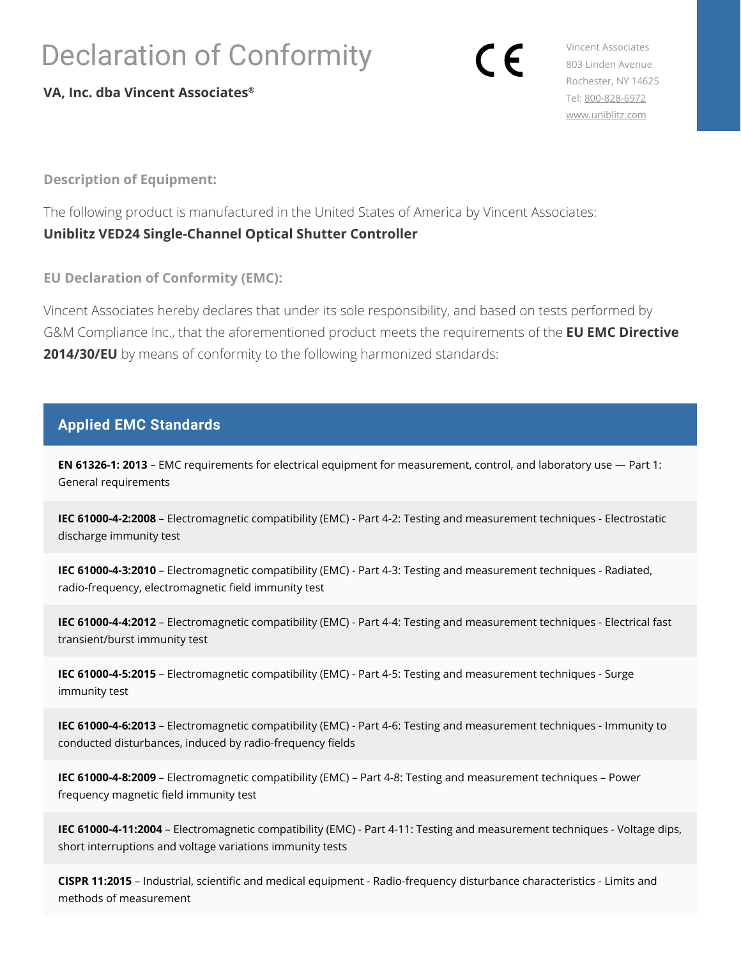## Declaration of Conformity

**VA, Inc. dba Vincent Associates®**

Vincent Associates 803 Linden Avenue Rochester, NY 14625 Tel: [800-828-6972](tel:8008286972) [www.uniblitz.com](http://www.uniblitz.com)

**Description of Equipment:**

The following product is manufactured in the United States of America by Vincent Associates: **Uniblitz VED24 Single-Channel Optical Shutter Controller**

**EU Declaration of Conformity (EMC):**

Vincent Associates hereby declares that under its sole responsibility, and based on tests performed by G&M Compliance Inc., that the aforementioned product meets the requirements of the **EU EMC Directive 2014/30/EU** by means of conformity to the following harmonized standards:

## **Applied EMC Standards**

**EN 61326-1: 2013** – EMC requirements for electrical equipment for measurement, control, and laboratory use — Part 1: General requirements

**IEC 61000-4-2:2008** – Electromagnetic compatibility (EMC) - Part 4-2: Testing and measurement techniques - Electrostatic discharge immunity test

**IEC 61000-4-3:2010** – Electromagnetic compatibility (EMC) - Part 4-3: Testing and measurement techniques - Radiated, radio-frequency, electromagnetic field immunity test

**IEC 61000-4-4:2012** – Electromagnetic compatibility (EMC) - Part 4-4: Testing and measurement techniques - Electrical fast transient/burst immunity test

**IEC 61000-4-5:2015** – Electromagnetic compatibility (EMC) - Part 4-5: Testing and measurement techniques - Surge immunity test

**IEC 61000-4-6:2013** – Electromagnetic compatibility (EMC) - Part 4-6: Testing and measurement techniques - Immunity to conducted disturbances, induced by radio-frequency fields

**IEC 61000-4-8:2009** – Electromagnetic compatibility (EMC) – Part 4-8: Testing and measurement techniques – Power frequency magnetic field immunity test

**IEC 61000-4-11:2004** – Electromagnetic compatibility (EMC) - Part 4-11: Testing and measurement techniques - Voltage dips, short interruptions and voltage variations immunity tests

**CISPR 11:2015** – Industrial, scientific and medical equipment - Radio-frequency disturbance characteristics - Limits and methods of measurement